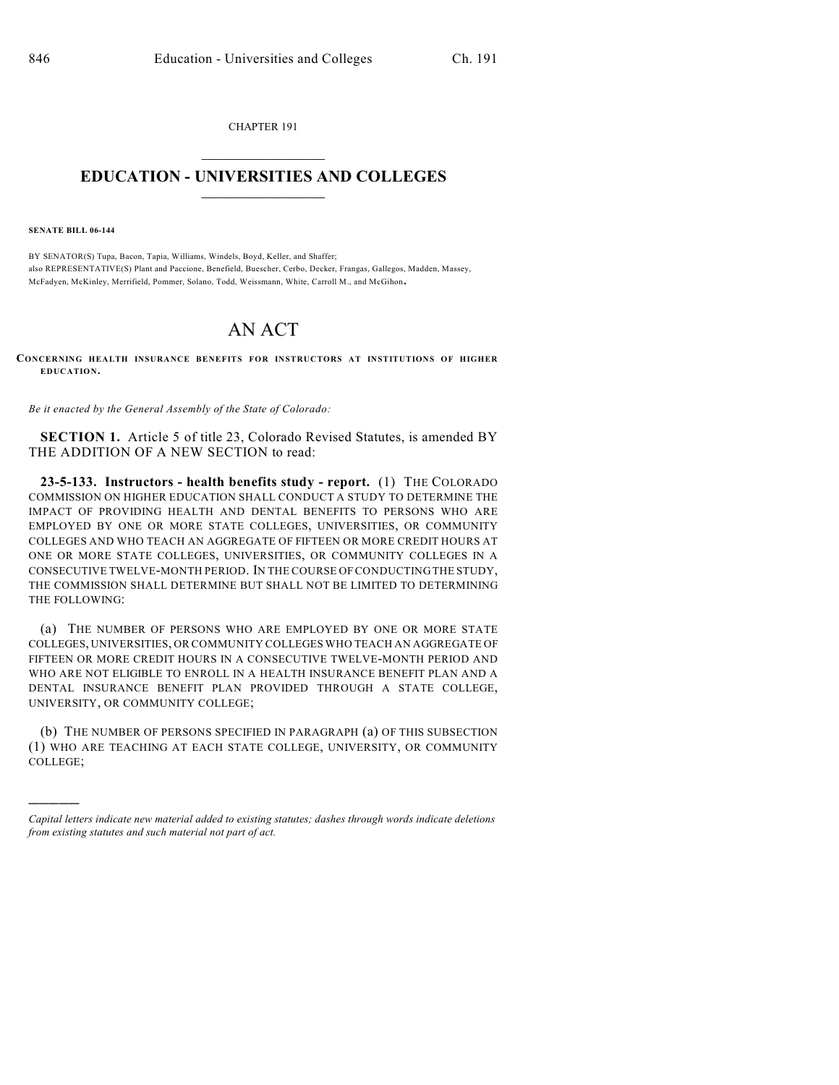CHAPTER 191  $\overline{\phantom{a}}$  . The set of the set of the set of the set of the set of the set of the set of the set of the set of the set of the set of the set of the set of the set of the set of the set of the set of the set of the set o

## **EDUCATION - UNIVERSITIES AND COLLEGES**  $\_$

**SENATE BILL 06-144**

)))))

BY SENATOR(S) Tupa, Bacon, Tapia, Williams, Windels, Boyd, Keller, and Shaffer; also REPRESENTATIVE(S) Plant and Paccione, Benefield, Buescher, Cerbo, Decker, Frangas, Gallegos, Madden, Massey, McFadyen, McKinley, Merrifield, Pommer, Solano, Todd, Weissmann, White, Carroll M., and McGihon.

## AN ACT

**CONCERNING HEALTH INSURANCE BENEFITS FOR INSTRUCTORS AT INSTITUTIONS OF HIGHER EDUCATION.**

*Be it enacted by the General Assembly of the State of Colorado:*

**SECTION 1.** Article 5 of title 23, Colorado Revised Statutes, is amended BY THE ADDITION OF A NEW SECTION to read:

**23-5-133. Instructors - health benefits study - report.** (1) THE COLORADO COMMISSION ON HIGHER EDUCATION SHALL CONDUCT A STUDY TO DETERMINE THE IMPACT OF PROVIDING HEALTH AND DENTAL BENEFITS TO PERSONS WHO ARE EMPLOYED BY ONE OR MORE STATE COLLEGES, UNIVERSITIES, OR COMMUNITY COLLEGES AND WHO TEACH AN AGGREGATE OF FIFTEEN OR MORE CREDIT HOURS AT ONE OR MORE STATE COLLEGES, UNIVERSITIES, OR COMMUNITY COLLEGES IN A CONSECUTIVE TWELVE-MONTH PERIOD. IN THE COURSE OF CONDUCTING THE STUDY, THE COMMISSION SHALL DETERMINE BUT SHALL NOT BE LIMITED TO DETERMINING THE FOLLOWING:

(a) THE NUMBER OF PERSONS WHO ARE EMPLOYED BY ONE OR MORE STATE COLLEGES, UNIVERSITIES, OR COMMUNITY COLLEGES WHO TEACH AN AGGREGATE OF FIFTEEN OR MORE CREDIT HOURS IN A CONSECUTIVE TWELVE-MONTH PERIOD AND WHO ARE NOT ELIGIBLE TO ENROLL IN A HEALTH INSURANCE BENEFIT PLAN AND A DENTAL INSURANCE BENEFIT PLAN PROVIDED THROUGH A STATE COLLEGE, UNIVERSITY, OR COMMUNITY COLLEGE;

(b) THE NUMBER OF PERSONS SPECIFIED IN PARAGRAPH (a) OF THIS SUBSECTION (1) WHO ARE TEACHING AT EACH STATE COLLEGE, UNIVERSITY, OR COMMUNITY COLLEGE;

*Capital letters indicate new material added to existing statutes; dashes through words indicate deletions from existing statutes and such material not part of act.*